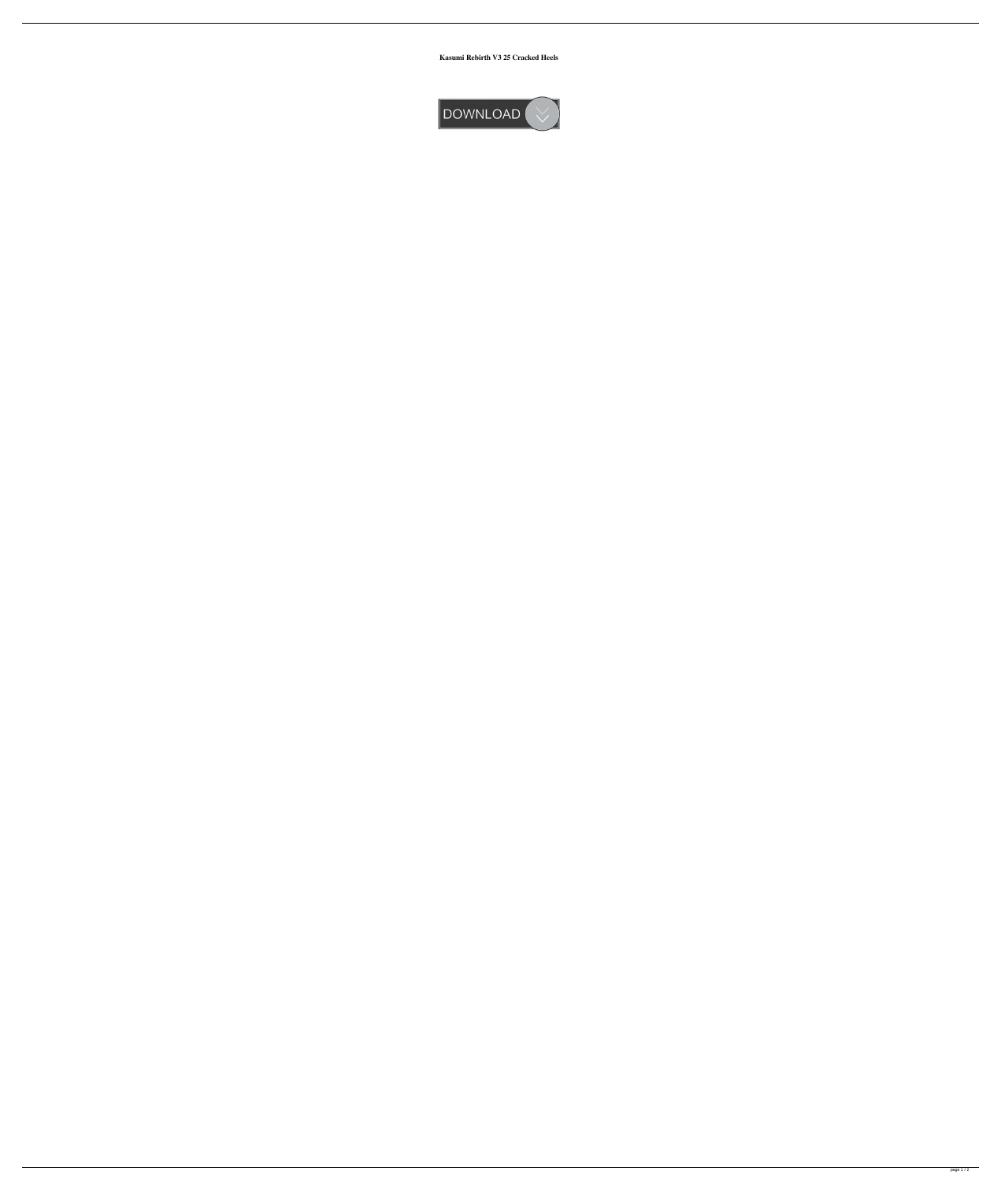**Kasumi Rebirth V3 25 Cracked Heels**